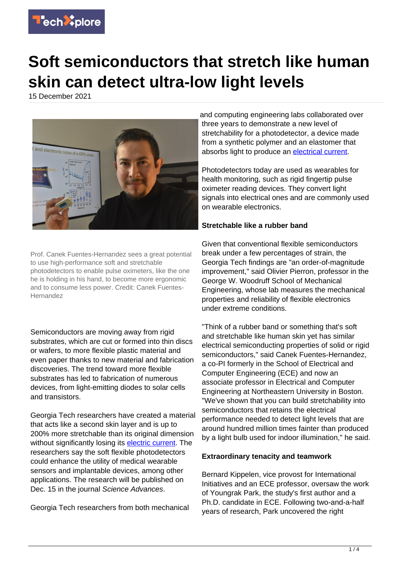

## **Soft semiconductors that stretch like human skin can detect ultra-low light levels**

15 December 2021



Prof. Canek Fuentes-Hernandez sees a great potential to use high-performance soft and stretchable photodetectors to enable pulse oximeters, like the one he is holding in his hand, to become more ergonomic and to consume less power. Credit: Canek Fuentes-Hernandez

Semiconductors are moving away from rigid substrates, which are cut or formed into thin discs or wafers, to more flexible plastic material and even paper thanks to new material and fabrication discoveries. The trend toward more flexible substrates has led to fabrication of numerous devices, from light-emitting diodes to solar cells and transistors.

Georgia Tech researchers have created a material that acts like a second skin layer and is up to 200% more stretchable than its original dimension without significantly losing its [electric current](https://techxplore.com/tags/electric+current/). The researchers say the soft flexible photodetectors could enhance the utility of medical wearable sensors and implantable devices, among other applications. The research will be published on Dec. 15 in the journal Science Advances.

Georgia Tech researchers from both mechanical

and computing engineering labs collaborated over three years to demonstrate a new level of stretchability for a photodetector, a device made from a synthetic polymer and an elastomer that absorbs light to produce an [electrical current.](https://techxplore.com/tags/electrical+current/)

Photodetectors today are used as wearables for health monitoring, such as rigid fingertip pulse oximeter reading devices. They convert light signals into electrical ones and are commonly used on wearable electronics.

## **Stretchable like a rubber band**

Given that conventional flexible semiconductors break under a few percentages of strain, the Georgia Tech findings are "an order-of-magnitude improvement," said Olivier Pierron, professor in the George W. Woodruff School of Mechanical Engineering, whose lab measures the mechanical properties and reliability of flexible electronics under extreme conditions.

"Think of a rubber band or something that's soft and stretchable like human skin yet has similar electrical semiconducting properties of solid or rigid semiconductors," said Canek Fuentes-Hernandez, a co-PI formerly in the School of Electrical and Computer Engineering (ECE) and now an associate professor in Electrical and Computer Engineering at Northeastern University in Boston. "We've shown that you can build stretchability into semiconductors that retains the electrical performance needed to detect light levels that are around hundred million times fainter than produced by a light bulb used for indoor illumination," he said.

## **Extraordinary tenacity and teamwork**

Bernard Kippelen, vice provost for International Initiatives and an ECE professor, oversaw the work of Youngrak Park, the study's first author and a Ph.D. candidate in ECE. Following two-and-a-half years of research, Park uncovered the right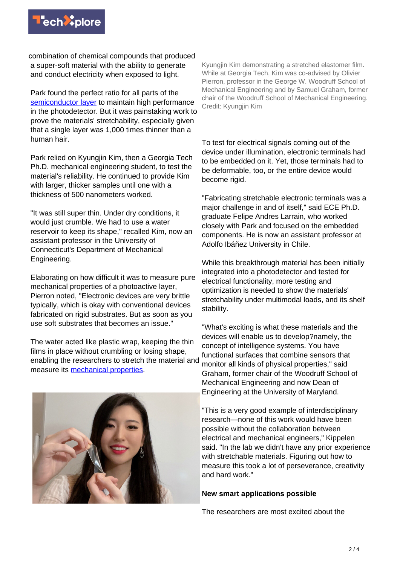

combination of chemical compounds that produced a super-soft material with the ability to generate and conduct electricity when exposed to light.

Park found the perfect ratio for all parts of the [semiconductor layer](https://techxplore.com/tags/semiconductor+layer/) to maintain high performance in the photodetector. But it was painstaking work to prove the materials' stretchability, especially given that a single layer was 1,000 times thinner than a human hair.

Park relied on Kyungjin Kim, then a Georgia Tech Ph.D. mechanical engineering student, to test the material's reliability. He continued to provide Kim with larger, thicker samples until one with a thickness of 500 nanometers worked.

"It was still super thin. Under dry conditions, it would just crumble. We had to use a water reservoir to keep its shape," recalled Kim, now an assistant professor in the University of Connecticut's Department of Mechanical Engineering.

Elaborating on how difficult it was to measure pure mechanical properties of a photoactive layer, Pierron noted, "Electronic devices are very brittle typically, which is okay with conventional devices fabricated on rigid substrates. But as soon as you use soft substrates that becomes an issue."

The water acted like plastic wrap, keeping the thin films in place without crumbling or losing shape, enabling the researchers to stretch the material and measure its [mechanical properties.](https://techxplore.com/tags/mechanical+properties/)



Kyungjin Kim demonstrating a stretched elastomer film. While at Georgia Tech, Kim was co-advised by Olivier Pierron, professor in the George W. Woodruff School of Mechanical Engineering and by Samuel Graham, former chair of the Woodruff School of Mechanical Engineering. Credit: Kyungjin Kim

To test for electrical signals coming out of the device under illumination, electronic terminals had to be embedded on it. Yet, those terminals had to be deformable, too, or the entire device would become rigid.

"Fabricating stretchable electronic terminals was a major challenge in and of itself," said ECE Ph.D. graduate Felipe Andres Larrain, who worked closely with Park and focused on the embedded components. He is now an assistant professor at Adolfo Ibáñez University in Chile.

While this breakthrough material has been initially integrated into a photodetector and tested for electrical functionality, more testing and optimization is needed to show the materials' stretchability under multimodal loads, and its shelf stability.

"What's exciting is what these materials and the devices will enable us to develop?namely, the concept of intelligence systems. You have functional surfaces that combine sensors that monitor all kinds of physical properties," said Graham, former chair of the Woodruff School of Mechanical Engineering and now Dean of Engineering at the University of Maryland.

"This is a very good example of interdisciplinary research—none of this work would have been possible without the collaboration between electrical and mechanical engineers," Kippelen said. "In the lab we didn't have any prior experience with stretchable materials. Figuring out how to measure this took a lot of perseverance, creativity and hard work."

## **New smart applications possible**

The researchers are most excited about the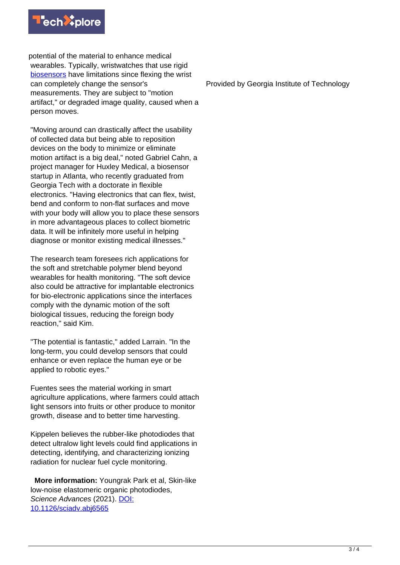

potential of the material to enhance medical wearables. Typically, wristwatches that use rigid [biosensors](https://techxplore.com/tags/biosensors/) have limitations since flexing the wrist can completely change the sensor's measurements. They are subject to "motion artifact," or degraded image quality, caused when a person moves.

"Moving around can drastically affect the usability of collected data but being able to reposition devices on the body to minimize or eliminate motion artifact is a big deal," noted Gabriel Cahn, a project manager for Huxley Medical, a biosensor startup in Atlanta, who recently graduated from Georgia Tech with a doctorate in flexible electronics. "Having electronics that can flex, twist, bend and conform to non-flat surfaces and move with your body will allow you to place these sensors in more advantageous places to collect biometric data. It will be infinitely more useful in helping diagnose or monitor existing medical illnesses."

The research team foresees rich applications for the soft and stretchable polymer blend beyond wearables for health monitoring. "The soft device also could be attractive for implantable electronics for bio-electronic applications since the interfaces comply with the dynamic motion of the soft biological tissues, reducing the foreign body reaction," said Kim.

"The potential is fantastic," added Larrain. "In the long-term, you could develop sensors that could enhance or even replace the human eye or be applied to robotic eyes."

Fuentes sees the material working in smart agriculture applications, where farmers could attach light sensors into fruits or other produce to monitor growth, disease and to better time harvesting.

Kippelen believes the rubber-like photodiodes that detect ultralow light levels could find applications in detecting, identifying, and characterizing ionizing radiation for nuclear fuel cycle monitoring.

 **More information:** Youngrak Park et al, Skin-like low-noise elastomeric organic photodiodes, Science Advances (2021). [DOI:](http://dx.doi.org/10.1126/sciadv.abj6565) [10.1126/sciadv.abj6565](http://dx.doi.org/10.1126/sciadv.abj6565)

Provided by Georgia Institute of Technology